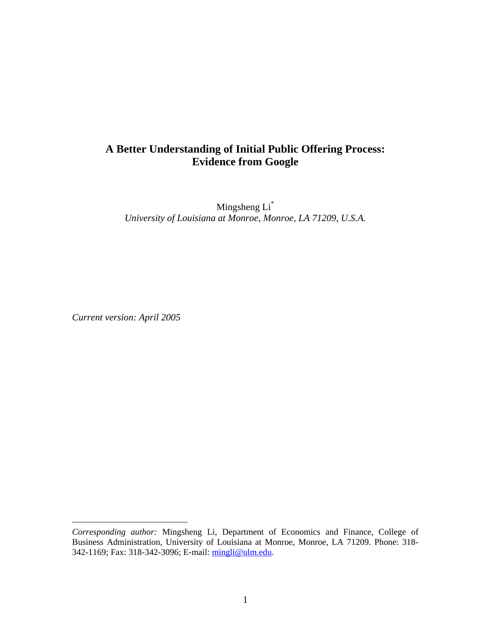# **A Better Understanding of Initial Public Offering Process: Evidence from Google**

Mingsheng Li[\\*](#page-0-0) *University of Louisiana at Monroe, Monroe, LA 71209, U.S.A.* 

*Current version: April 2005* 

1

<span id="page-0-0"></span>*Corresponding author:* Mingsheng Li, Department of Economics and Finance, College of Business Administration, University of Louisiana at Monroe, Monroe, LA 71209. Phone: 318- 342-1169; Fax: 318-342-3096; E-mail: [mingli@ulm.edu.](mailto:mingli@ulm.edu)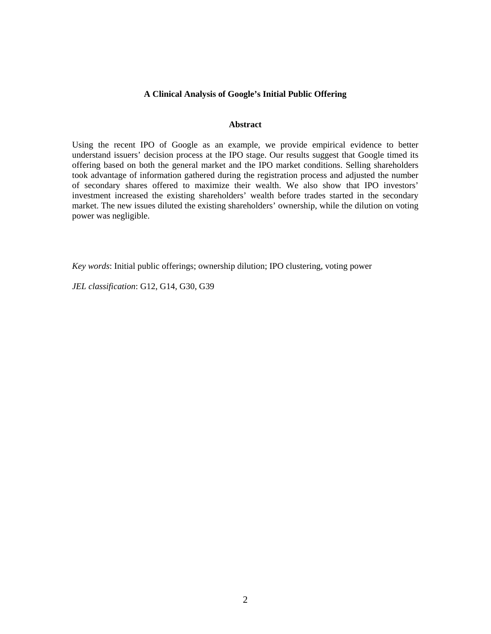## **A Clinical Analysis of Google's Initial Public Offering**

## **Abstract**

Using the recent IPO of Google as an example, we provide empirical evidence to better understand issuers' decision process at the IPO stage. Our results suggest that Google timed its offering based on both the general market and the IPO market conditions. Selling shareholders took advantage of information gathered during the registration process and adjusted the number of secondary shares offered to maximize their wealth. We also show that IPO investors' investment increased the existing shareholders' wealth before trades started in the secondary market. The new issues diluted the existing shareholders' ownership, while the dilution on voting power was negligible.

*Key words*: Initial public offerings; ownership dilution; IPO clustering, voting power

*JEL classification*: G12, G14, G30, G39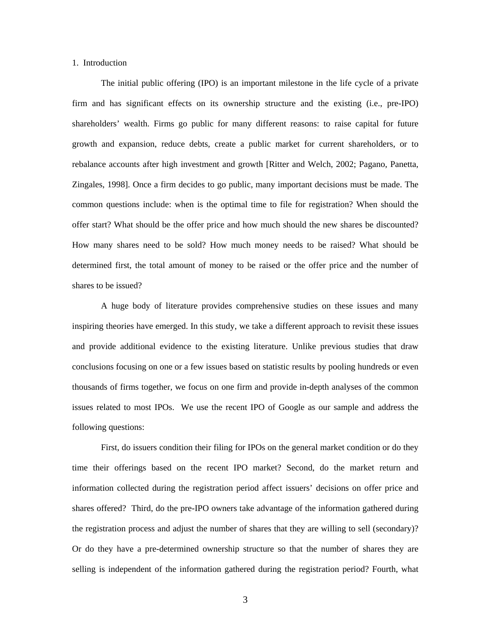1. Introduction

The initial public offering (IPO) is an important milestone in the life cycle of a private firm and has significant effects on its ownership structure and the existing (i.e., pre-IPO) shareholders' wealth. Firms go public for many different reasons: to raise capital for future growth and expansion, reduce debts, create a public market for current shareholders, or to rebalance accounts after high investment and growth [Ritter and Welch, 2002; Pagano, Panetta, Zingales, 1998]. Once a firm decides to go public, many important decisions must be made. The common questions include: when is the optimal time to file for registration? When should the offer start? What should be the offer price and how much should the new shares be discounted? How many shares need to be sold? How much money needs to be raised? What should be determined first, the total amount of money to be raised or the offer price and the number of shares to be issued?

A huge body of literature provides comprehensive studies on these issues and many inspiring theories have emerged. In this study, we take a different approach to revisit these issues and provide additional evidence to the existing literature. Unlike previous studies that draw conclusions focusing on one or a few issues based on statistic results by pooling hundreds or even thousands of firms together, we focus on one firm and provide in-depth analyses of the common issues related to most IPOs. We use the recent IPO of Google as our sample and address the following questions:

First, do issuers condition their filing for IPOs on the general market condition or do they time their offerings based on the recent IPO market? Second, do the market return and information collected during the registration period affect issuers' decisions on offer price and shares offered? Third, do the pre-IPO owners take advantage of the information gathered during the registration process and adjust the number of shares that they are willing to sell (secondary)? Or do they have a pre-determined ownership structure so that the number of shares they are selling is independent of the information gathered during the registration period? Fourth, what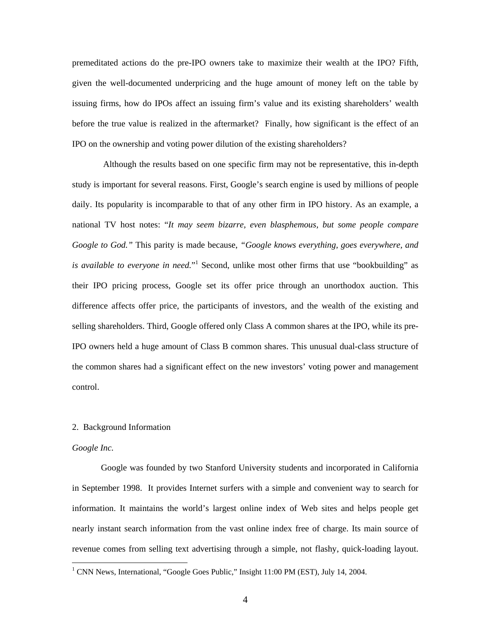premeditated actions do the pre-IPO owners take to maximize their wealth at the IPO? Fifth, given the well-documented underpricing and the huge amount of money left on the table by issuing firms, how do IPOs affect an issuing firm's value and its existing shareholders' wealth before the true value is realized in the aftermarket? Finally, how significant is the effect of an IPO on the ownership and voting power dilution of the existing shareholders?

Although the results based on one specific firm may not be representative, this in-depth study is important for several reasons. First, Google's search engine is used by millions of people daily. Its popularity is incomparable to that of any other firm in IPO history. As an example, a national TV host notes: "*It may seem bizarre, even blasphemous, but some people compare Google to God."* This parity is made because, *"Google knows everything, goes everywhere, and isavailable to everyone in need.*"<sup>1</sup> Second, unlike most other firms that use "bookbuilding" as their IPO pricing process, Google set its offer price through an unorthodox auction. This difference affects offer price, the participants of investors, and the wealth of the existing and selling shareholders. Third, Google offered only Class A common shares at the IPO, while its pre-IPO owners held a huge amount of Class B common shares. This unusual dual-class structure of the common shares had a significant effect on the new investors' voting power and management control.

## 2. Background Information

#### *Google Inc.*

 $\overline{a}$ 

Google was founded by two Stanford University students and incorporated in California in September 1998. It provides Internet surfers with a simple and convenient way to search for information. It maintains the world's largest online index of Web sites and helps people get nearly instant search information from the vast online index free of charge. Its main source of revenue comes from selling text advertising through a simple, not flashy, quick-loading layout.

<span id="page-3-0"></span><sup>&</sup>lt;sup>1</sup> CNN News, International, "Google Goes Public," Insight 11:00 PM (EST), July 14, 2004.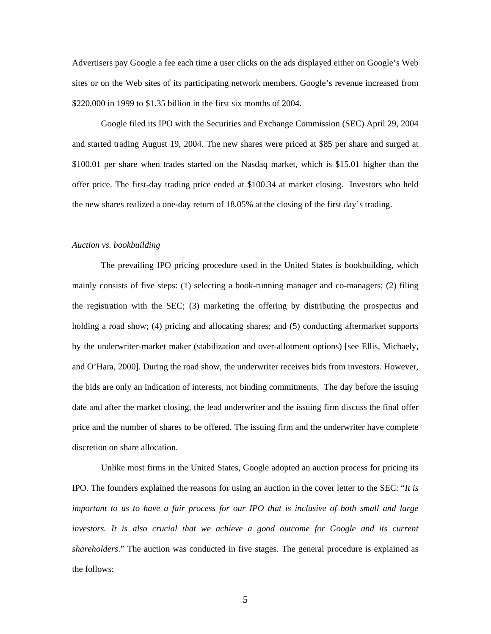Advertisers pay Google a fee each time a user clicks on the ads displayed either on Google's Web sites or on the Web sites of its participating network members. Google's revenue increased from \$220,000 in 1999 to \$1.35 billion in the first six months of 2004.

Google filed its IPO with the Securities and Exchange Commission (SEC) April 29, 2004 and started trading August 19, 2004. The new shares were priced at \$85 per share and surged at \$100.01 per share when trades started on the Nasdaq market, which is \$15.01 higher than the offer price. The first-day trading price ended at \$100.34 at market closing. Investors who held the new shares realized a one-day return of 18.05% at the closing of the first day's trading.

#### *Auction vs. bookbuilding*

The prevailing IPO pricing procedure used in the United States is bookbuilding, which mainly consists of five steps: (1) selecting a book-running manager and co-managers; (2) filing the registration with the SEC; (3) marketing the offering by distributing the prospectus and holding a road show; (4) pricing and allocating shares; and (5) conducting aftermarket supports by the underwriter-market maker (stabilization and over-allotment options) [see Ellis, Michaely, and O'Hara, 2000]. During the road show, the underwriter receives bids from investors. However, the bids are only an indication of interests, not binding commitments. The day before the issuing date and after the market closing, the lead underwriter and the issuing firm discuss the final offer price and the number of shares to be offered. The issuing firm and the underwriter have complete discretion on share allocation.

Unlike most firms in the United States, Google adopted an auction process for pricing its IPO. The founders explained the reasons for using an auction in the cover letter to the SEC: "*It is important to us to have a fair process for our IPO that is inclusive of both small and large investors. It is also crucial that we achieve a good outcome for Google and its current shareholders*." The auction was conducted in five stages. The general procedure is explained as the follows: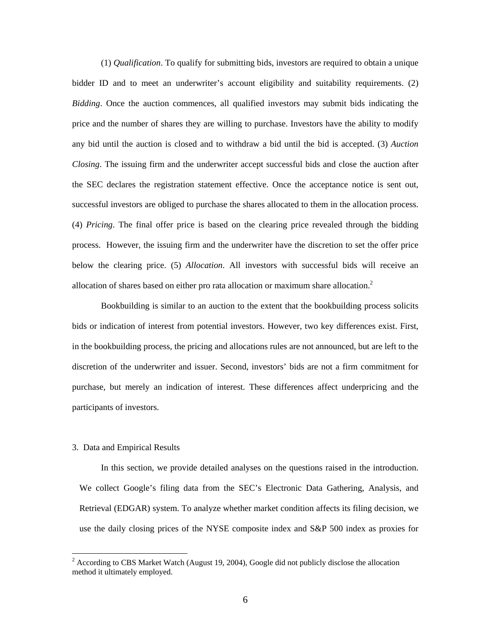(1) *Qualification*. To qualify for submitting bids, investors are required to obtain a unique bidder ID and to meet an underwriter's account eligibility and suitability requirements. (2) *Bidding*. Once the auction commences, all qualified investors may submit bids indicating the price and the number of shares they are willing to purchase. Investors have the ability to modify any bid until the auction is closed and to withdraw a bid until the bid is accepted. (3) *Auction Closing*. The issuing firm and the underwriter accept successful bids and close the auction after the SEC declares the registration statement effective. Once the acceptance notice is sent out, successful investors are obliged to purchase the shares allocated to them in the allocation process. (4) *Pricing*. The final offer price is based on the clearing price revealed through the bidding process. However, the issuing firm and the underwriter have the discretion to set the offer price below the clearing price. (5) *Allocation*. All investors with successful bids will receive an allocation of shares based on either pro rata allocation or maximum share allocation. $<sup>2</sup>$  $<sup>2</sup>$  $<sup>2</sup>$ </sup>

Bookbuilding is similar to an auction to the extent that the bookbuilding process solicits bids or indication of interest from potential investors. However, two key differences exist. First, in the bookbuilding process, the pricing and allocations rules are not announced, but are left to the discretion of the underwriter and issuer. Second, investors' bids are not a firm commitment for purchase, but merely an indication of interest. These differences affect underpricing and the participants of investors.

#### 3. Data and Empirical Results

 $\overline{a}$ 

In this section, we provide detailed analyses on the questions raised in the introduction. We collect Google's filing data from the SEC's Electronic Data Gathering, Analysis, and Retrieval (EDGAR) system. To analyze whether market condition affects its filing decision, we use the daily closing prices of the NYSE composite index and S&P 500 index as proxies for

<span id="page-5-0"></span> $2^{2}$  According to CBS Market Watch (August 19, 2004), Google did not publicly disclose the allocation method it ultimately employed.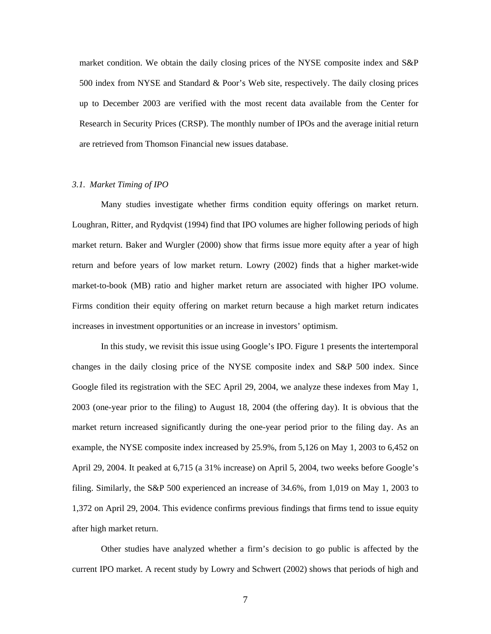market condition. We obtain the daily closing prices of the NYSE composite index and S&P 500 index from NYSE and Standard & Poor's Web site, respectively. The daily closing prices up to December 2003 are verified with the most recent data available from the Center for Research in Security Prices (CRSP). The monthly number of IPOs and the average initial return are retrieved from Thomson Financial new issues database.

## *3.1. Market Timing of IPO*

Many studies investigate whether firms condition equity offerings on market return. Loughran, Ritter, and Rydqvist (1994) find that IPO volumes are higher following periods of high market return. Baker and Wurgler (2000) show that firms issue more equity after a year of high return and before years of low market return. Lowry (2002) finds that a higher market-wide market-to-book (MB) ratio and higher market return are associated with higher IPO volume. Firms condition their equity offering on market return because a high market return indicates increases in investment opportunities or an increase in investors' optimism.

In this study, we revisit this issue using Google's IPO. Figure 1 presents the intertemporal changes in the daily closing price of the NYSE composite index and S&P 500 index. Since Google filed its registration with the SEC April 29, 2004, we analyze these indexes from May 1, 2003 (one-year prior to the filing) to August 18, 2004 (the offering day). It is obvious that the market return increased significantly during the one-year period prior to the filing day. As an example, the NYSE composite index increased by 25.9%, from 5,126 on May 1, 2003 to 6,452 on April 29, 2004. It peaked at 6,715 (a 31% increase) on April 5, 2004, two weeks before Google's filing. Similarly, the S&P 500 experienced an increase of 34.6%, from 1,019 on May 1, 2003 to 1,372 on April 29, 2004. This evidence confirms previous findings that firms tend to issue equity after high market return.

Other studies have analyzed whether a firm's decision to go public is affected by the current IPO market. A recent study by Lowry and Schwert (2002) shows that periods of high and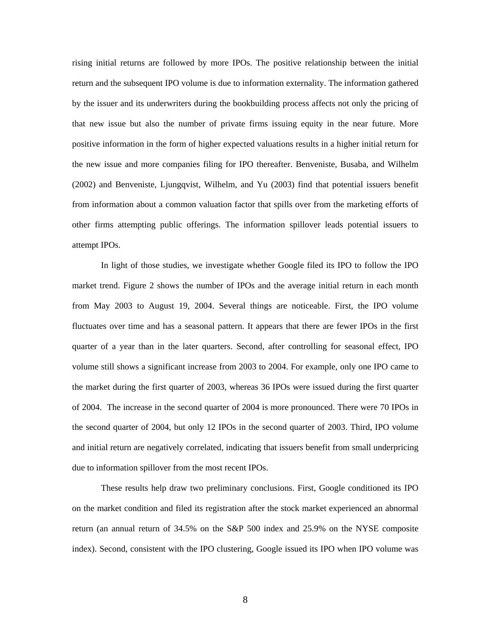rising initial returns are followed by more IPOs. The positive relationship between the initial return and the subsequent IPO volume is due to information externality. The information gathered by the issuer and its underwriters during the bookbuilding process affects not only the pricing of that new issue but also the number of private firms issuing equity in the near future. More positive information in the form of higher expected valuations results in a higher initial return for the new issue and more companies filing for IPO thereafter. Benveniste, Busaba, and Wilhelm (2002) and Benveniste, Ljungqvist, Wilhelm, and Yu (2003) find that potential issuers benefit from information about a common valuation factor that spills over from the marketing efforts of other firms attempting public offerings. The information spillover leads potential issuers to attempt IPOs.

In light of those studies, we investigate whether Google filed its IPO to follow the IPO market trend. Figure 2 shows the number of IPOs and the average initial return in each month from May 2003 to August 19, 2004. Several things are noticeable. First, the IPO volume fluctuates over time and has a seasonal pattern. It appears that there are fewer IPOs in the first quarter of a year than in the later quarters. Second, after controlling for seasonal effect, IPO volume still shows a significant increase from 2003 to 2004. For example, only one IPO came to the market during the first quarter of 2003, whereas 36 IPOs were issued during the first quarter of 2004. The increase in the second quarter of 2004 is more pronounced. There were 70 IPOs in the second quarter of 2004, but only 12 IPOs in the second quarter of 2003. Third, IPO volume and initial return are negatively correlated, indicating that issuers benefit from small underpricing due to information spillover from the most recent IPOs.

These results help draw two preliminary conclusions. First, Google conditioned its IPO on the market condition and filed its registration after the stock market experienced an abnormal return (an annual return of 34.5% on the S&P 500 index and 25.9% on the NYSE composite index). Second, consistent with the IPO clustering, Google issued its IPO when IPO volume was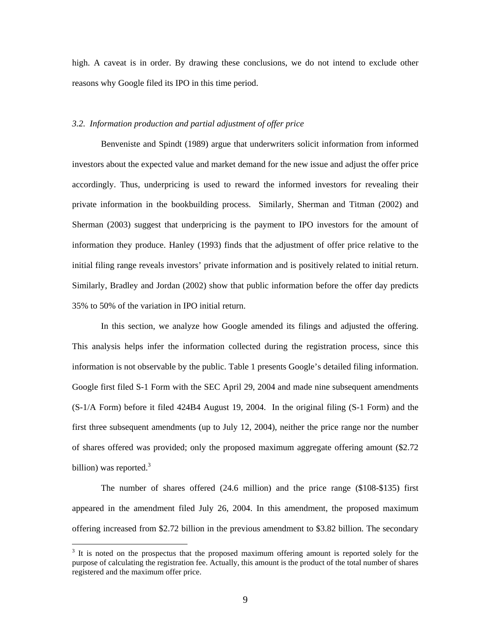high. A caveat is in order. By drawing these conclusions, we do not intend to exclude other reasons why Google filed its IPO in this time period.

## *3.2. Information production and partial adjustment of offer price*

Benveniste and Spindt (1989) argue that underwriters solicit information from informed investors about the expected value and market demand for the new issue and adjust the offer price accordingly. Thus, underpricing is used to reward the informed investors for revealing their private information in the bookbuilding process. Similarly, Sherman and Titman (2002) and Sherman (2003) suggest that underpricing is the payment to IPO investors for the amount of information they produce. Hanley (1993) finds that the adjustment of offer price relative to the initial filing range reveals investors' private information and is positively related to initial return. Similarly, Bradley and Jordan (2002) show that public information before the offer day predicts 35% to 50% of the variation in IPO initial return.

In this section, we analyze how Google amended its filings and adjusted the offering. This analysis helps infer the information collected during the registration process, since this information is not observable by the public. Table 1 presents Google's detailed filing information. Google first filed S-1 Form with the SEC April 29, 2004 and made nine subsequent amendments (S-1/A Form) before it filed 424B4 August 19, 2004. In the original filing (S-1 Form) and the first three subsequent amendments (up to July 12, 2004), neither the price range nor the number of shares offered was provided; only the proposed maximum aggregate offering amount (\$2.72 billion) was reported.<sup>[3](#page-8-0)</sup>

The number of shares offered (24.6 million) and the price range (\$108-\$135) first appeared in the amendment filed July 26, 2004. In this amendment, the proposed maximum offering increased from \$2.72 billion in the previous amendment to \$3.82 billion. The secondary

 $\overline{a}$ 

<span id="page-8-0"></span> $3$  It is noted on the prospectus that the proposed maximum offering amount is reported solely for the purpose of calculating the registration fee. Actually, this amount is the product of the total number of shares registered and the maximum offer price.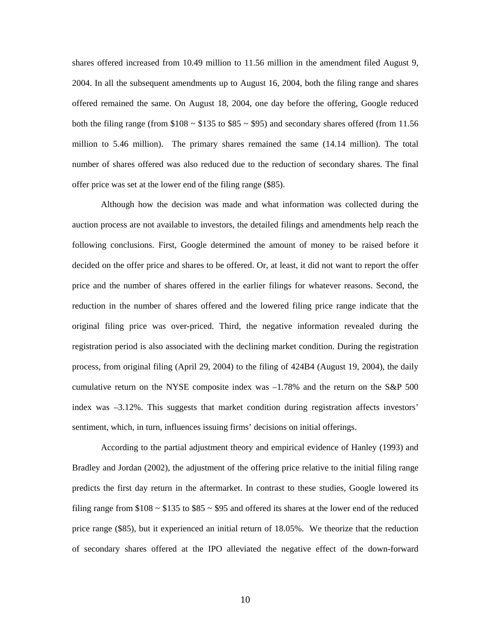shares offered increased from 10.49 million to 11.56 million in the amendment filed August 9, 2004. In all the subsequent amendments up to August 16, 2004, both the filing range and shares offered remained the same. On August 18, 2004, one day before the offering, Google reduced both the filing range (from  $$108 \sim $135$  to  $$85 \sim $95$ ) and secondary shares offered (from 11.56 million to 5.46 million). The primary shares remained the same (14.14 million). The total number of shares offered was also reduced due to the reduction of secondary shares. The final offer price was set at the lower end of the filing range (\$85).

Although how the decision was made and what information was collected during the auction process are not available to investors, the detailed filings and amendments help reach the following conclusions. First, Google determined the amount of money to be raised before it decided on the offer price and shares to be offered. Or, at least, it did not want to report the offer price and the number of shares offered in the earlier filings for whatever reasons. Second, the reduction in the number of shares offered and the lowered filing price range indicate that the original filing price was over-priced. Third, the negative information revealed during the registration period is also associated with the declining market condition. During the registration process, from original filing (April 29, 2004) to the filing of 424B4 (August 19, 2004), the daily cumulative return on the NYSE composite index was  $-1.78\%$  and the return on the S&P 500 index was –3.12%. This suggests that market condition during registration affects investors' sentiment, which, in turn, influences issuing firms' decisions on initial offerings.

According to the partial adjustment theory and empirical evidence of Hanley (1993) and Bradley and Jordan (2002), the adjustment of the offering price relative to the initial filing range predicts the first day return in the aftermarket. In contrast to these studies, Google lowered its filing range from  $$108 \sim $135$  to  $$85 \sim $95$  and offered its shares at the lower end of the reduced price range (\$85), but it experienced an initial return of 18.05%. We theorize that the reduction of secondary shares offered at the IPO alleviated the negative effect of the down-forward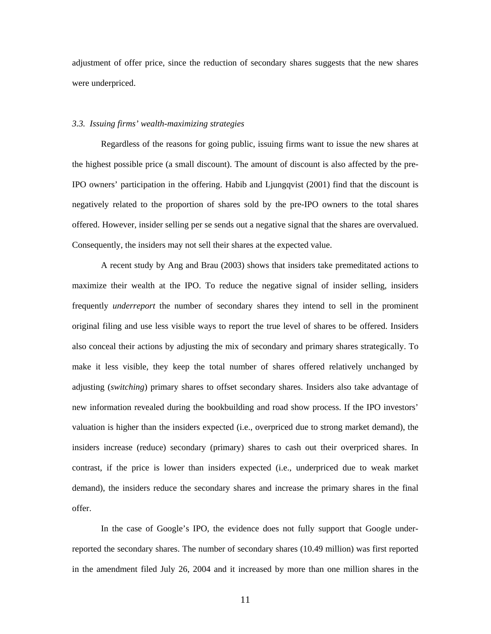adjustment of offer price, since the reduction of secondary shares suggests that the new shares were underpriced.

#### *3.3. Issuing firms' wealth-maximizing strategies*

Regardless of the reasons for going public, issuing firms want to issue the new shares at the highest possible price (a small discount). The amount of discount is also affected by the pre-IPO owners' participation in the offering. Habib and Ljungqvist (2001) find that the discount is negatively related to the proportion of shares sold by the pre-IPO owners to the total shares offered. However, insider selling per se sends out a negative signal that the shares are overvalued. Consequently, the insiders may not sell their shares at the expected value.

A recent study by Ang and Brau (2003) shows that insiders take premeditated actions to maximize their wealth at the IPO. To reduce the negative signal of insider selling, insiders frequently *underreport* the number of secondary shares they intend to sell in the prominent original filing and use less visible ways to report the true level of shares to be offered. Insiders also conceal their actions by adjusting the mix of secondary and primary shares strategically. To make it less visible, they keep the total number of shares offered relatively unchanged by adjusting (*switching*) primary shares to offset secondary shares. Insiders also take advantage of new information revealed during the bookbuilding and road show process. If the IPO investors' valuation is higher than the insiders expected (i.e., overpriced due to strong market demand), the insiders increase (reduce) secondary (primary) shares to cash out their overpriced shares. In contrast, if the price is lower than insiders expected (i.e., underpriced due to weak market demand), the insiders reduce the secondary shares and increase the primary shares in the final offer.

In the case of Google's IPO, the evidence does not fully support that Google underreported the secondary shares. The number of secondary shares (10.49 million) was first reported in the amendment filed July 26, 2004 and it increased by more than one million shares in the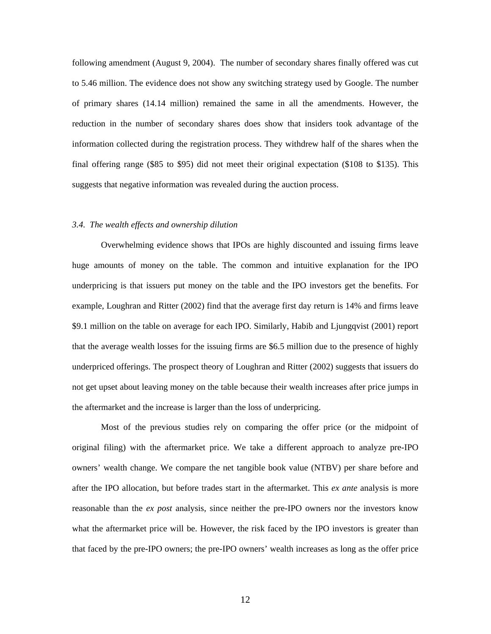following amendment (August 9, 2004). The number of secondary shares finally offered was cut to 5.46 million. The evidence does not show any switching strategy used by Google. The number of primary shares (14.14 million) remained the same in all the amendments. However, the reduction in the number of secondary shares does show that insiders took advantage of the information collected during the registration process. They withdrew half of the shares when the final offering range (\$85 to \$95) did not meet their original expectation (\$108 to \$135). This suggests that negative information was revealed during the auction process.

## *3.4. The wealth effects and ownership dilution*

Overwhelming evidence shows that IPOs are highly discounted and issuing firms leave huge amounts of money on the table. The common and intuitive explanation for the IPO underpricing is that issuers put money on the table and the IPO investors get the benefits. For example, Loughran and Ritter (2002) find that the average first day return is 14% and firms leave \$9.1 million on the table on average for each IPO. Similarly, Habib and Ljungqvist (2001) report that the average wealth losses for the issuing firms are \$6.5 million due to the presence of highly underpriced offerings. The prospect theory of Loughran and Ritter (2002) suggests that issuers do not get upset about leaving money on the table because their wealth increases after price jumps in the aftermarket and the increase is larger than the loss of underpricing.

Most of the previous studies rely on comparing the offer price (or the midpoint of original filing) with the aftermarket price. We take a different approach to analyze pre-IPO owners' wealth change. We compare the net tangible book value (NTBV) per share before and after the IPO allocation, but before trades start in the aftermarket. This *ex ante* analysis is more reasonable than the *ex post* analysis, since neither the pre-IPO owners nor the investors know what the aftermarket price will be. However, the risk faced by the IPO investors is greater than that faced by the pre-IPO owners; the pre-IPO owners' wealth increases as long as the offer price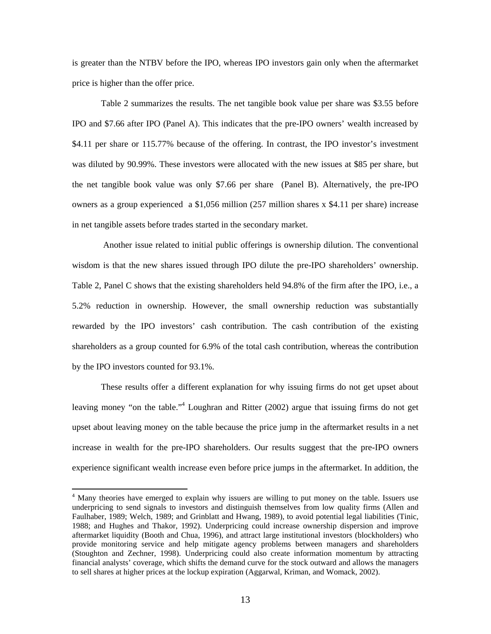is greater than the NTBV before the IPO, whereas IPO investors gain only when the aftermarket price is higher than the offer price.

Table 2 summarizes the results. The net tangible book value per share was \$3.55 before IPO and \$7.66 after IPO (Panel A). This indicates that the pre-IPO owners' wealth increased by \$4.11 per share or 115.77% because of the offering. In contrast, the IPO investor's investment was diluted by 90.99%. These investors were allocated with the new issues at \$85 per share, but the net tangible book value was only \$7.66 per share (Panel B). Alternatively, the pre-IPO owners as a group experienced a \$1,056 million (257 million shares x \$4.11 per share) increase in net tangible assets before trades started in the secondary market.

Another issue related to initial public offerings is ownership dilution. The conventional wisdom is that the new shares issued through IPO dilute the pre-IPO shareholders' ownership. Table 2, Panel C shows that the existing shareholders held 94.8% of the firm after the IPO, i.e., a 5.2% reduction in ownership. However, the small ownership reduction was substantially rewarded by the IPO investors' cash contribution. The cash contribution of the existing shareholders as a group counted for 6.9% of the total cash contribution, whereas the contribution by the IPO investors counted for 93.1%.

These results offer a different explanation for why issuing firms do not get upset about leaving money "on the table."<sup>4</sup> Loughran and Ritter (2002) argue that issuing firms do not get upset about leaving money on the table because the price jump in the aftermarket results in a net increase in wealth for the pre-IPO shareholders. Our results suggest that the pre-IPO owners experience significant wealth increase even before price jumps in the aftermarket. In addition, the

 $\overline{a}$ 

<span id="page-12-0"></span><sup>&</sup>lt;sup>4</sup> Many theories have emerged to explain why issuers are willing to put money on the table. Issuers use underpricing to send signals to investors and distinguish themselves from low quality firms (Allen and Faulhaber, 1989; Welch, 1989; and Grinblatt and Hwang, 1989), to avoid potential legal liabilities (Tinic, 1988; and Hughes and Thakor, 1992). Underpricing could increase ownership dispersion and improve aftermarket liquidity (Booth and Chua, 1996), and attract large institutional investors (blockholders) who provide monitoring service and help mitigate agency problems between managers and shareholders (Stoughton and Zechner, 1998). Underpricing could also create information momentum by attracting financial analysts' coverage, which shifts the demand curve for the stock outward and allows the managers to sell shares at higher prices at the lockup expiration (Aggarwal, Kriman, and Womack, 2002).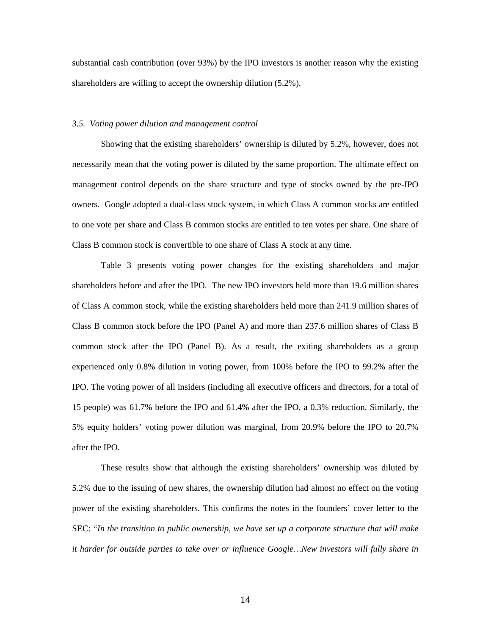substantial cash contribution (over 93%) by the IPO investors is another reason why the existing shareholders are willing to accept the ownership dilution (5.2%).

#### *3.5. Voting power dilution and management control*

Showing that the existing shareholders' ownership is diluted by 5.2%, however, does not necessarily mean that the voting power is diluted by the same proportion. The ultimate effect on management control depends on the share structure and type of stocks owned by the pre-IPO owners. Google adopted a dual-class stock system, in which Class A common stocks are entitled to one vote per share and Class B common stocks are entitled to ten votes per share. One share of Class B common stock is convertible to one share of Class A stock at any time.

Table 3 presents voting power changes for the existing shareholders and major shareholders before and after the IPO. The new IPO investors held more than 19.6 million shares of Class A common stock, while the existing shareholders held more than 241.9 million shares of Class B common stock before the IPO (Panel A) and more than 237.6 million shares of Class B common stock after the IPO (Panel B). As a result, the exiting shareholders as a group experienced only 0.8% dilution in voting power, from 100% before the IPO to 99.2% after the IPO. The voting power of all insiders (including all executive officers and directors, for a total of 15 people) was 61.7% before the IPO and 61.4% after the IPO, a 0.3% reduction. Similarly, the 5% equity holders' voting power dilution was marginal, from 20.9% before the IPO to 20.7% after the IPO.

These results show that although the existing shareholders' ownership was diluted by 5.2% due to the issuing of new shares, the ownership dilution had almost no effect on the voting power of the existing shareholders. This confirms the notes in the founders' cover letter to the SEC: "*In the transition to public ownership, we have set up a corporate structure that will make it harder for outside parties to take over or influence Google…New investors will fully share in*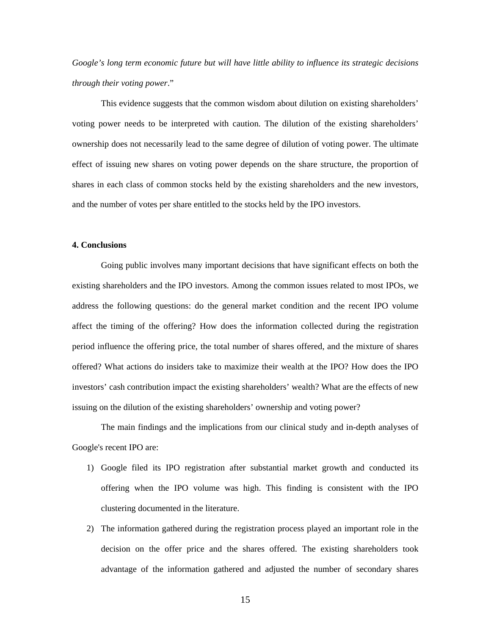*Google's long term economic future but will have little ability to influence its strategic decisions through their voting power*."

This evidence suggests that the common wisdom about dilution on existing shareholders' voting power needs to be interpreted with caution. The dilution of the existing shareholders' ownership does not necessarily lead to the same degree of dilution of voting power. The ultimate effect of issuing new shares on voting power depends on the share structure, the proportion of shares in each class of common stocks held by the existing shareholders and the new investors, and the number of votes per share entitled to the stocks held by the IPO investors.

#### **4. Conclusions**

Going public involves many important decisions that have significant effects on both the existing shareholders and the IPO investors. Among the common issues related to most IPOs, we address the following questions: do the general market condition and the recent IPO volume affect the timing of the offering? How does the information collected during the registration period influence the offering price, the total number of shares offered, and the mixture of shares offered? What actions do insiders take to maximize their wealth at the IPO? How does the IPO investors' cash contribution impact the existing shareholders' wealth? What are the effects of new issuing on the dilution of the existing shareholders' ownership and voting power?

The main findings and the implications from our clinical study and in-depth analyses of Google's recent IPO are:

- 1) Google filed its IPO registration after substantial market growth and conducted its offering when the IPO volume was high. This finding is consistent with the IPO clustering documented in the literature.
- 2) The information gathered during the registration process played an important role in the decision on the offer price and the shares offered. The existing shareholders took advantage of the information gathered and adjusted the number of secondary shares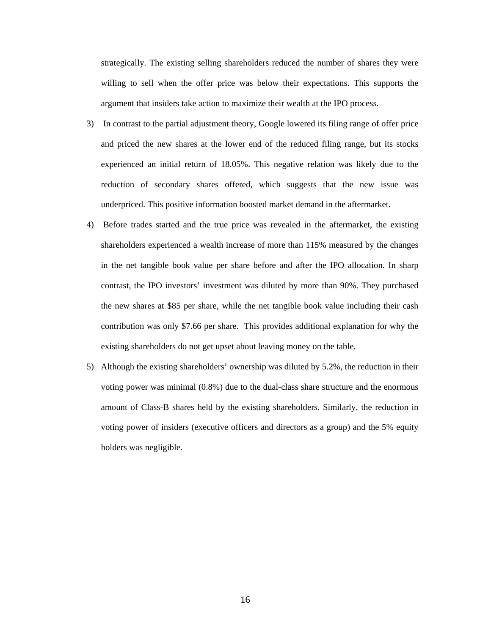strategically. The existing selling shareholders reduced the number of shares they were willing to sell when the offer price was below their expectations. This supports the argument that insiders take action to maximize their wealth at the IPO process.

- 3) In contrast to the partial adjustment theory, Google lowered its filing range of offer price and priced the new shares at the lower end of the reduced filing range, but its stocks experienced an initial return of 18.05%. This negative relation was likely due to the reduction of secondary shares offered, which suggests that the new issue was underpriced. This positive information boosted market demand in the aftermarket.
- 4) Before trades started and the true price was revealed in the aftermarket, the existing shareholders experienced a wealth increase of more than 115% measured by the changes in the net tangible book value per share before and after the IPO allocation. In sharp contrast, the IPO investors' investment was diluted by more than 90%. They purchased the new shares at \$85 per share, while the net tangible book value including their cash contribution was only \$7.66 per share. This provides additional explanation for why the existing shareholders do not get upset about leaving money on the table.
- 5) Although the existing shareholders' ownership was diluted by 5.2%, the reduction in their voting power was minimal (0.8%) due to the dual-class share structure and the enormous amount of Class-B shares held by the existing shareholders. Similarly, the reduction in voting power of insiders (executive officers and directors as a group) and the 5% equity holders was negligible.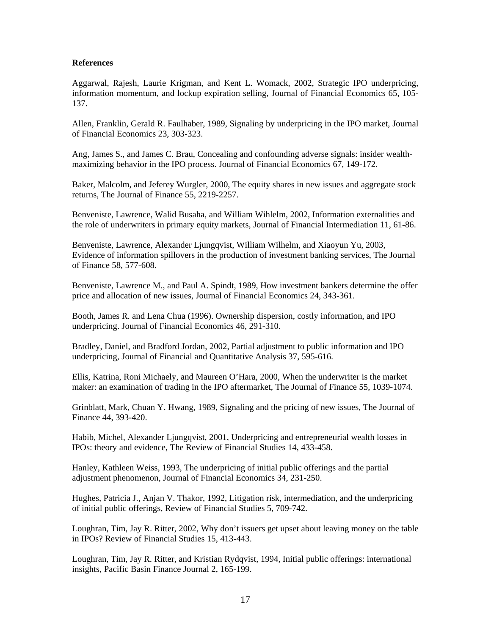## **References**

Aggarwal, Rajesh, Laurie Krigman, and Kent L. Womack, 2002, Strategic IPO underpricing, information momentum, and lockup expiration selling, Journal of Financial Economics 65, 105- 137.

Allen, Franklin, Gerald R. Faulhaber, 1989, Signaling by underpricing in the IPO market, Journal of Financial Economics 23, 303-323.

Ang, James S., and James C. Brau, Concealing and confounding adverse signals: insider wealthmaximizing behavior in the IPO process. Journal of Financial Economics 67, 149-172.

Baker, Malcolm, and Jeferey Wurgler, 2000, The equity shares in new issues and aggregate stock returns, The Journal of Finance 55, 2219-2257.

Benveniste, Lawrence, Walid Busaha, and William Wihlelm, 2002, Information externalities and the role of underwriters in primary equity markets, Journal of Financial Intermediation 11, 61-86.

Benveniste, Lawrence, Alexander Ljungqvist, William Wilhelm, and Xiaoyun Yu, 2003, Evidence of information spillovers in the production of investment banking services, The Journal of Finance 58, 577-608.

Benveniste, Lawrence M., and Paul A. Spindt, 1989, How investment bankers determine the offer price and allocation of new issues, Journal of Financial Economics 24, 343-361.

Booth, James R. and Lena Chua (1996). Ownership dispersion, costly information, and IPO underpricing. Journal of Financial Economics 46, 291-310.

Bradley, Daniel, and Bradford Jordan, 2002, Partial adjustment to public information and IPO underpricing, Journal of Financial and Quantitative Analysis 37, 595-616.

Ellis, Katrina, Roni Michaely, and Maureen O'Hara, 2000, When the underwriter is the market maker: an examination of trading in the IPO aftermarket, The Journal of Finance 55, 1039-1074.

Grinblatt, Mark, Chuan Y. Hwang, 1989, Signaling and the pricing of new issues, The Journal of Finance 44, 393-420.

Habib, Michel, Alexander Ljungqvist, 2001, Underpricing and entrepreneurial wealth losses in IPOs: theory and evidence, The Review of Financial Studies 14, 433-458.

Hanley, Kathleen Weiss, 1993, The underpricing of initial public offerings and the partial adjustment phenomenon, Journal of Financial Economics 34, 231-250.

Hughes, Patricia J., Anjan V. Thakor, 1992, Litigation risk, intermediation, and the underpricing of initial public offerings, Review of Financial Studies 5, 709-742.

Loughran, Tim, Jay R. Ritter, 2002, Why don't issuers get upset about leaving money on the table in IPOs? Review of Financial Studies 15, 413-443.

Loughran, Tim, Jay R. Ritter, and Kristian Rydqvist, 1994, Initial public offerings: international insights, Pacific Basin Finance Journal 2, 165-199.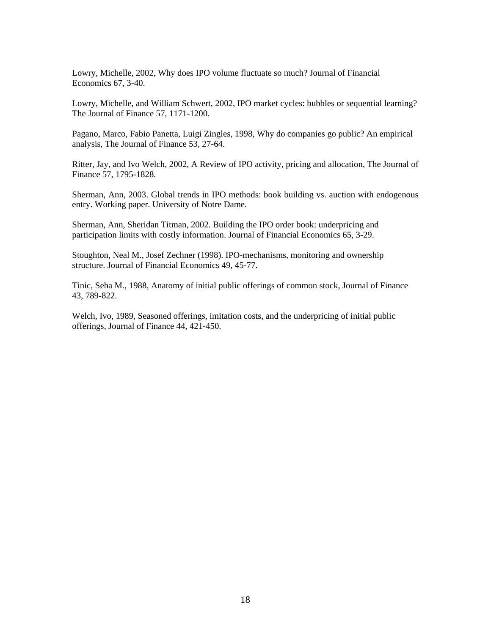Lowry, Michelle, 2002, Why does IPO volume fluctuate so much? Journal of Financial Economics 67, 3-40.

Lowry, Michelle, and William Schwert, 2002, IPO market cycles: bubbles or sequential learning? The Journal of Finance 57, 1171-1200.

Pagano, Marco, Fabio Panetta, Luigi Zingles, 1998, Why do companies go public? An empirical analysis, The Journal of Finance 53, 27-64.

Ritter, Jay, and Ivo Welch, 2002, A Review of IPO activity, pricing and allocation, The Journal of Finance 57, 1795-1828.

Sherman, Ann, 2003. Global trends in IPO methods: book building vs. auction with endogenous entry. Working paper. University of Notre Dame.

Sherman, Ann, Sheridan Titman, 2002. Building the IPO order book: underpricing and participation limits with costly information. Journal of Financial Economics 65, 3-29.

Stoughton, Neal M., Josef Zechner (1998). IPO-mechanisms, monitoring and ownership structure. Journal of Financial Economics 49, 45-77.

Tinic, Seha M., 1988, Anatomy of initial public offerings of common stock, Journal of Finance 43, 789-822.

Welch, Ivo, 1989, Seasoned offerings, imitation costs, and the underpricing of initial public offerings, Journal of Finance 44, 421-450.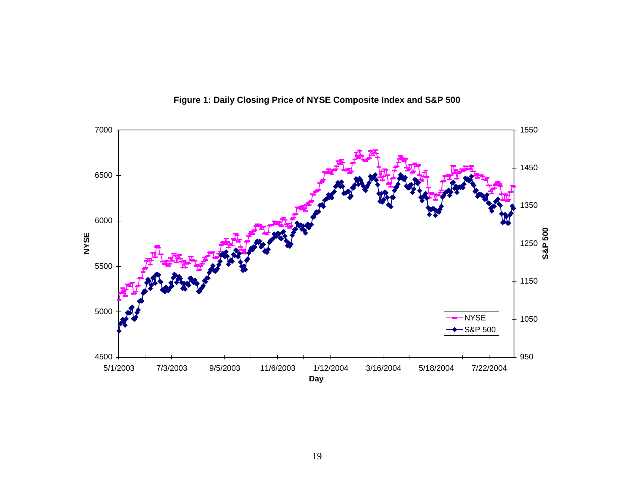

**Figure 1: Daily Closing Price of NYSE Composite Index and S&P 500**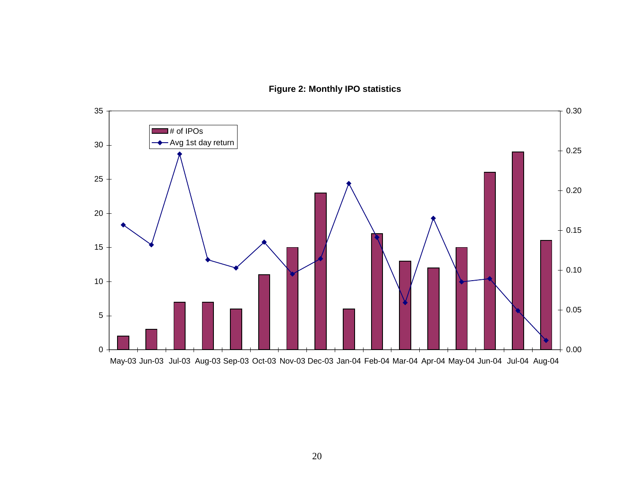**Figure 2: Monthly IPO statistics**

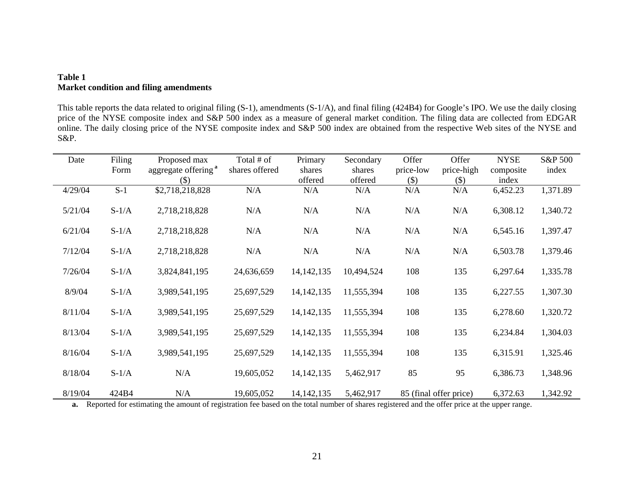## **Table 1 Market condition and filing amendments**

This table reports the data related to original filing (S-1), amendments (S-1/A), and final filing (424B4) for Google's IPO. We use the daily closing price of the NYSE composite index and S&P 500 index as a measure of general market condition. The filing data are collected from EDGAR online. The daily closing price of the NYSE composite index and S&P 500 index are obtained from the respective Web sites of the NYSE and S&P.

| Date    | Filing  | Proposed max                    | Total # of     | Primary      | Secondary  | Offer     | Offer                  | <b>NYSE</b> | S&P 500  |
|---------|---------|---------------------------------|----------------|--------------|------------|-----------|------------------------|-------------|----------|
|         | Form    | aggregate offering <sup>a</sup> | shares offered | shares       | shares     | price-low | price-high             | composite   | index    |
|         |         | $(\$)$                          |                | offered      | offered    | $(\$)$    | $(\$)$                 | index       |          |
| 4/29/04 | $S-1$   | \$2,718,218,828                 | N/A            | N/A          | N/A        | N/A       | N/A                    | 6,452.23    | 1,371.89 |
| 5/21/04 | $S-1/A$ | 2,718,218,828                   | N/A            | N/A          | N/A        | N/A       | N/A                    | 6,308.12    | 1,340.72 |
| 6/21/04 | $S-1/A$ | 2,718,218,828                   | N/A            | N/A          | N/A        | N/A       | N/A                    | 6,545.16    | 1,397.47 |
| 7/12/04 | $S-1/A$ | 2,718,218,828                   | N/A            | N/A          | N/A        | N/A       | N/A                    | 6,503.78    | 1,379.46 |
| 7/26/04 | $S-1/A$ | 3,824,841,195                   | 24,636,659     | 14, 142, 135 | 10,494,524 | 108       | 135                    | 6,297.64    | 1,335.78 |
| 8/9/04  | $S-1/A$ | 3,989,541,195                   | 25,697,529     | 14, 142, 135 | 11,555,394 | 108       | 135                    | 6,227.55    | 1,307.30 |
| 8/11/04 | $S-1/A$ | 3,989,541,195                   | 25,697,529     | 14, 142, 135 | 11,555,394 | 108       | 135                    | 6,278.60    | 1,320.72 |
| 8/13/04 | $S-1/A$ | 3,989,541,195                   | 25,697,529     | 14, 142, 135 | 11,555,394 | 108       | 135                    | 6,234.84    | 1,304.03 |
| 8/16/04 | $S-1/A$ | 3,989,541,195                   | 25,697,529     | 14, 142, 135 | 11,555,394 | 108       | 135                    | 6,315.91    | 1,325.46 |
| 8/18/04 | $S-1/A$ | N/A                             | 19,605,052     | 14, 142, 135 | 5,462,917  | 85        | 95                     | 6,386.73    | 1,348.96 |
| 8/19/04 | 424B4   | N/A                             | 19,605,052     | 14, 142, 135 | 5,462,917  |           | 85 (final offer price) | 6,372.63    | 1,342.92 |

**a.** Reported for estimating the amount of registration fee based on the total number of shares registered and the offer price at the upper range.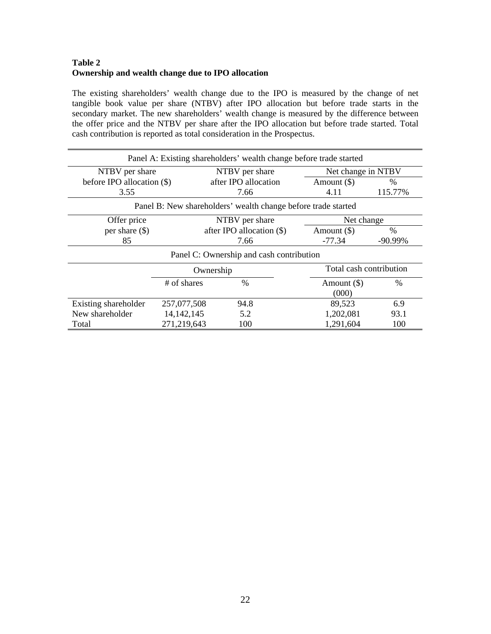# **Table 2 Ownership and wealth change due to IPO allocation**

The existing shareholders' wealth change due to the IPO is measured by the change of net tangible book value per share (NTBV) after IPO allocation but before trade starts in the secondary market. The new shareholders' wealth change is measured by the difference between the offer price and the NTBV per share after the IPO allocation but before trade started. Total cash contribution is reported as total consideration in the Prospectus.

| Panel A: Existing shareholders' wealth change before trade started |              |                             |               |                         |  |  |  |
|--------------------------------------------------------------------|--------------|-----------------------------|---------------|-------------------------|--|--|--|
| NTBV per share                                                     |              | NTBV per share              |               | Net change in NTBV      |  |  |  |
| before IPO allocation $(\$)$                                       |              | after IPO allocation        | Amount $(\$)$ | %                       |  |  |  |
| 3.55                                                               |              | 7.66                        | 4.11          | 115.77%                 |  |  |  |
| Panel B: New shareholders' wealth change before trade started      |              |                             |               |                         |  |  |  |
| Offer price                                                        |              | NTBV per share              |               | Net change              |  |  |  |
| per share $(\$)$                                                   |              | after IPO allocation $(\$)$ | Amount $(\$)$ | $\%$                    |  |  |  |
| 85                                                                 |              | 7.66                        | $-77.34$      | $-90.99\%$              |  |  |  |
| Panel C: Ownership and cash contribution                           |              |                             |               |                         |  |  |  |
|                                                                    | Ownership    |                             |               | Total cash contribution |  |  |  |
|                                                                    | # of shares  | $\%$                        | Amount $(\$)$ | $\frac{0}{0}$           |  |  |  |
|                                                                    |              |                             | (000)         |                         |  |  |  |
| Existing shareholder                                               | 257,077,508  | 94.8                        | 89,523        | 6.9                     |  |  |  |
| New shareholder                                                    | 14, 142, 145 | 5.2                         | 1,202,081     | 93.1                    |  |  |  |
| Total                                                              | 271,219,643  | 100                         | 1,291,604     | 100                     |  |  |  |